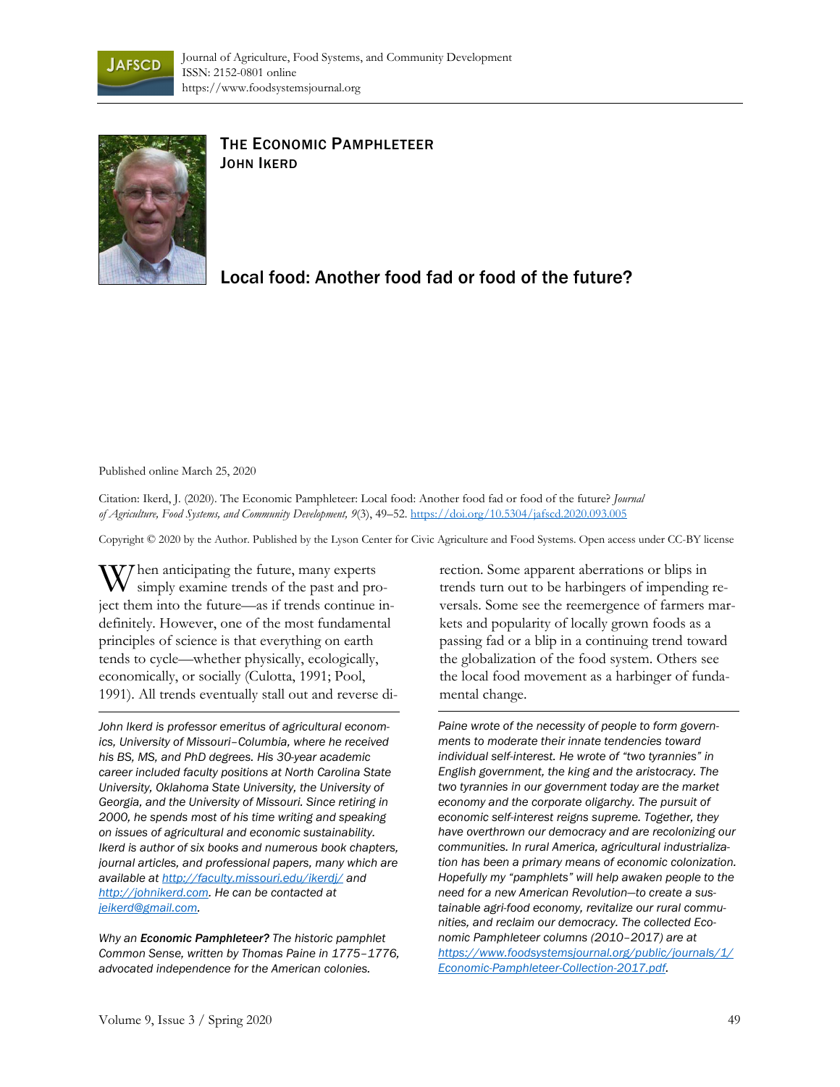



## THE ECONOMIC PAMPHLETEER JOHN IKERD

## Local food: Another food fad or food of the future?

Published online March 25, 2020

Citation: Ikerd, J. (2020). The Economic Pamphleteer: Local food: Another food fad or food of the future? *Journal of Agriculture, Food Systems, and Community Development, 9*(3), 49–52. https://doi.org/10.5304/jafscd.2020.093.005

Copyright © 2020 by the Author. Published by the Lyson Center for Civic Agriculture and Food Systems. Open access under CC-BY license

W hen anticipating the future, many experts<br>simply examine trends of the past and pro simply examine trends of the past and project them into the future—as if trends continue indefinitely. However, one of the most fundamental principles of science is that everything on earth tends to cycle—whether physically, ecologically, economically, or socially (Culotta, 1991; Pool, 1991). All trends eventually stall out and reverse di-

*John Ikerd is professor emeritus of agricultural economics, University of Missouri–Columbia, where he received his BS, MS, and PhD degrees. His 30-year academic career included faculty positions at North Carolina State University, Oklahoma State University, the University of Georgia, and the University of Missouri. Since retiring in 2000, he spends most of his time writing and speaking on issues of agricultural and economic sustainability. Ikerd is author of six books and numerous book chapters, journal articles, and professional papers, many which are available at http://faculty.missouri.edu/ikerdj/ and http://johnikerd.com. He can be contacted at jeikerd@gmail.com.* 

*Why an Economic Pamphleteer? The historic pamphlet Common Sense, written by Thomas Paine in 1775–1776, advocated independence for the American colonies.* 

rection. Some apparent aberrations or blips in trends turn out to be harbingers of impending reversals. Some see the reemergence of farmers markets and popularity of locally grown foods as a passing fad or a blip in a continuing trend toward the globalization of the food system. Others see the local food movement as a harbinger of fundamental change.

*Paine wrote of the necessity of people to form governments to moderate their innate tendencies toward individual self-interest. He wrote of "two tyrannies" in English government, the king and the aristocracy. The two tyrannies in our government today are the market economy and the corporate oligarchy. The pursuit of economic self-interest reigns supreme. Together, they have overthrown our democracy and are recolonizing our communities. In rural America, agricultural industrialization has been a primary means of economic colonization. Hopefully my "pamphlets" will help awaken people to the need for a new American Revolution—to create a sustainable agri-food economy, revitalize our rural communities, and reclaim our democracy. The collected Economic Pamphleteer columns (2010–2017) are at [https://www.foodsystemsjournal.org/public/journals/1/](https://www.foodsystemsjournal.org/public/journals/1/Economic-Pamphleteer-Collection-2017.pdf) Economic-Pamphleteer-Collection-2017.pdf.*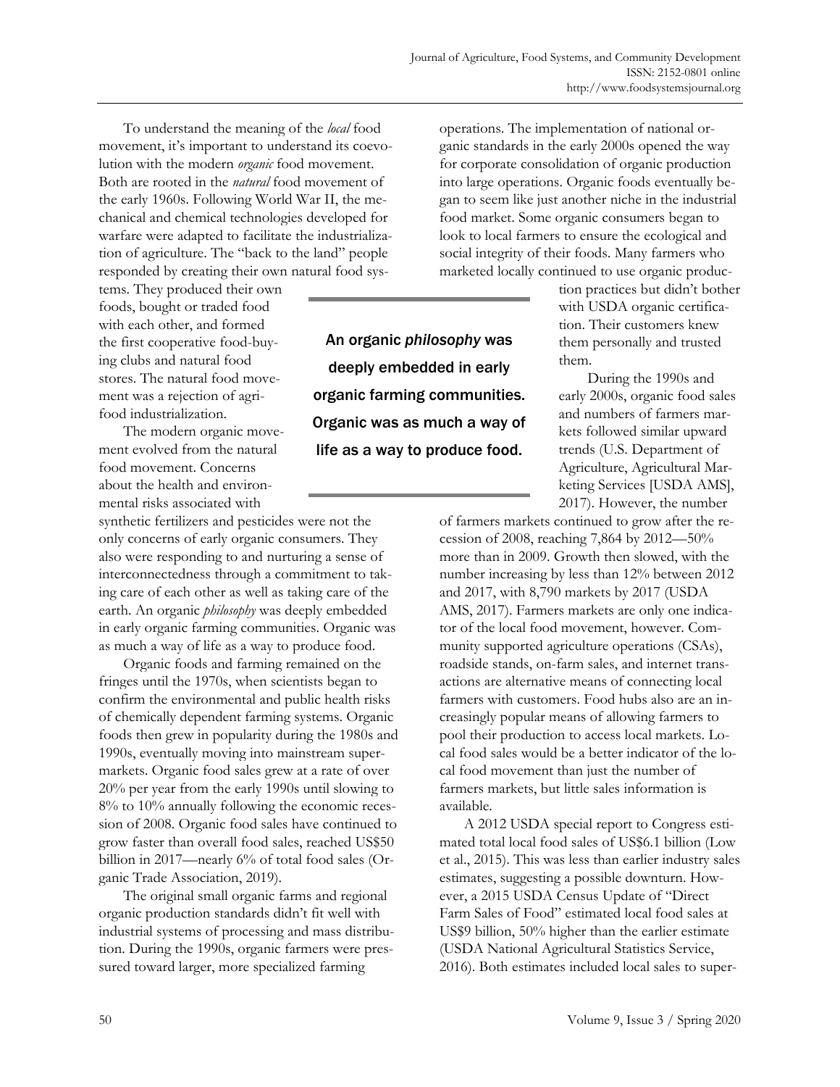To understand the meaning of the *local* food movement, it's important to understand its coevolution with the modern *organic* food movement. Both are rooted in the *natural* food movement of the early 1960s. Following World War II, the mechanical and chemical technologies developed for warfare were adapted to facilitate the industrialization of agriculture. The "back to the land" people responded by creating their own natural food sys-

tems. They produced their own foods, bought or traded food with each other, and formed the first cooperative food-buying clubs and natural food stores. The natural food movement was a rejection of agrifood industrialization.

 The modern organic movement evolved from the natural food movement. Concerns about the health and environmental risks associated with

synthetic fertilizers and pesticides were not the only concerns of early organic consumers. They also were responding to and nurturing a sense of interconnectedness through a commitment to taking care of each other as well as taking care of the earth. An organic *philosophy* was deeply embedded in early organic farming communities. Organic was as much a way of life as a way to produce food.

 Organic foods and farming remained on the fringes until the 1970s, when scientists began to confirm the environmental and public health risks of chemically dependent farming systems. Organic foods then grew in popularity during the 1980s and 1990s, eventually moving into mainstream supermarkets. Organic food sales grew at a rate of over 20% per year from the early 1990s until slowing to 8% to 10% annually following the economic recession of 2008. Organic food sales have continued to grow faster than overall food sales, reached US\$50 billion in 2017—nearly 6% of total food sales (Organic Trade Association, 2019).

 The original small organic farms and regional organic production standards didn't fit well with industrial systems of processing and mass distribution. During the 1990s, organic farmers were pressured toward larger, more specialized farming

operations. The implementation of national organic standards in the early 2000s opened the way for corporate consolidation of organic production into large operations. Organic foods eventually began to seem like just another niche in the industrial food market. Some organic consumers began to look to local farmers to ensure the ecological and social integrity of their foods. Many farmers who marketed locally continued to use organic produc-

> tion practices but didn't bother with USDA organic certification. Their customers knew them personally and trusted them.

 During the 1990s and early 2000s, organic food sales and numbers of farmers markets followed similar upward trends (U.S. Department of Agriculture, Agricultural Marketing Services [USDA AMS], 2017). However, the number

of farmers markets continued to grow after the recession of 2008, reaching 7,864 by 2012—50% more than in 2009. Growth then slowed, with the number increasing by less than 12% between 2012 and 2017, with 8,790 markets by 2017 (USDA AMS, 2017). Farmers markets are only one indicator of the local food movement, however. Community supported agriculture operations (CSAs), roadside stands, on-farm sales, and internet transactions are alternative means of connecting local farmers with customers. Food hubs also are an increasingly popular means of allowing farmers to pool their production to access local markets. Local food sales would be a better indicator of the local food movement than just the number of farmers markets, but little sales information is available.

 A 2012 USDA special report to Congress estimated total local food sales of US\$6.1 billion (Low et al., 2015). This was less than earlier industry sales estimates, suggesting a possible downturn. However, a 2015 USDA Census Update of "Direct Farm Sales of Food" estimated local food sales at US\$9 billion, 50% higher than the earlier estimate (USDA National Agricultural Statistics Service, 2016). Both estimates included local sales to super-

An organic *philosophy* was deeply embedded in early organic farming communities. Organic was as much a way of

life as a way to produce food.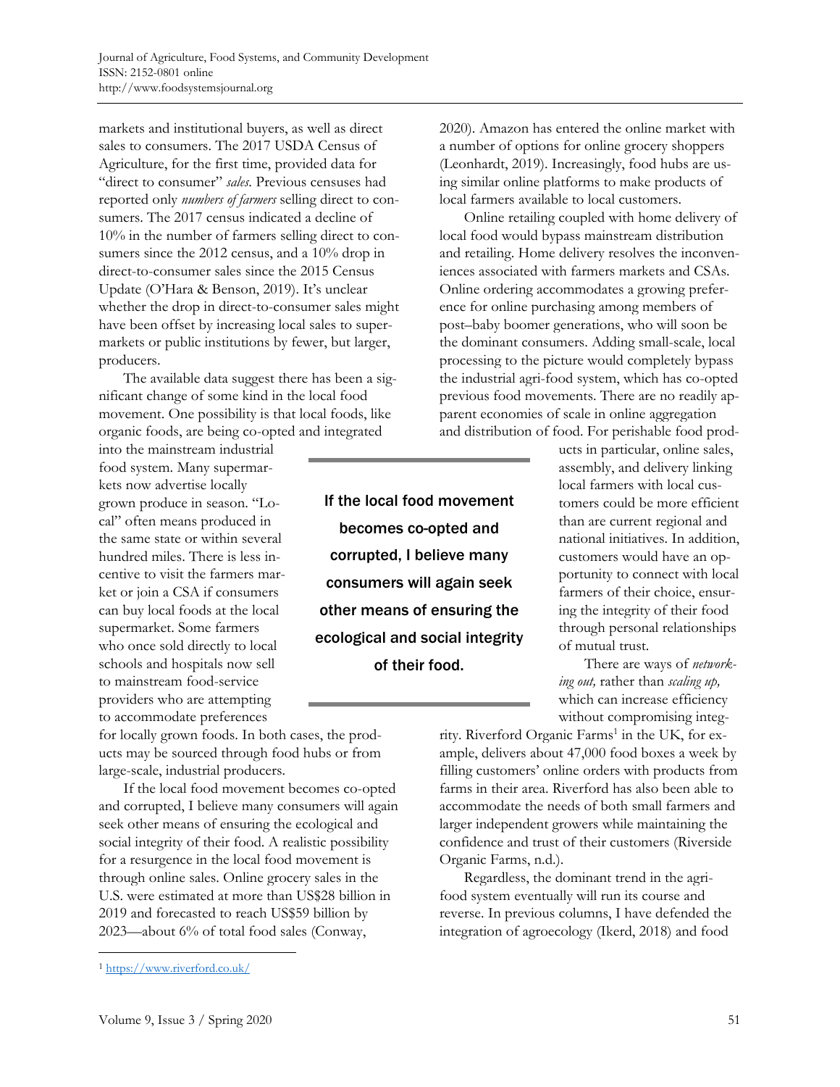markets and institutional buyers, as well as direct sales to consumers. The 2017 USDA Census of Agriculture, for the first time, provided data for "direct to consumer" *sales*. Previous censuses had reported only *numbers of farmers* selling direct to consumers. The 2017 census indicated a decline of 10% in the number of farmers selling direct to consumers since the 2012 census, and a 10% drop in direct-to-consumer sales since the 2015 Census Update (O'Hara & Benson, 2019). It's unclear whether the drop in direct-to-consumer sales might have been offset by increasing local sales to supermarkets or public institutions by fewer, but larger, producers.

 The available data suggest there has been a significant change of some kind in the local food movement. One possibility is that local foods, like organic foods, are being co-opted and integrated

into the mainstream industrial food system. Many supermarkets now advertise locally grown produce in season. "Local" often means produced in the same state or within several hundred miles. There is less incentive to visit the farmers market or join a CSA if consumers can buy local foods at the local supermarket. Some farmers who once sold directly to local schools and hospitals now sell to mainstream food-service providers who are attempting to accommodate preferences

for locally grown foods. In both cases, the products may be sourced through food hubs or from large-scale, industrial producers.

 If the local food movement becomes co-opted and corrupted, I believe many consumers will again seek other means of ensuring the ecological and social integrity of their food. A realistic possibility for a resurgence in the local food movement is through online sales. Online grocery sales in the U.S. were estimated at more than US\$28 billion in 2019 and forecasted to reach US\$59 billion by 2023—about 6% of total food sales (Conway,

If the local food movement becomes co-opted and corrupted, I believe many consumers will again seek other means of ensuring the ecological and social integrity of their food.

2020). Amazon has entered the online market with a number of options for online grocery shoppers (Leonhardt, 2019). Increasingly, food hubs are using similar online platforms to make products of local farmers available to local customers.

 Online retailing coupled with home delivery of local food would bypass mainstream distribution and retailing. Home delivery resolves the inconveniences associated with farmers markets and CSAs. Online ordering accommodates a growing preference for online purchasing among members of post–baby boomer generations, who will soon be the dominant consumers. Adding small-scale, local processing to the picture would completely bypass the industrial agri-food system, which has co-opted previous food movements. There are no readily apparent economies of scale in online aggregation and distribution of food. For perishable food prod-

> ucts in particular, online sales, assembly, and delivery linking local farmers with local customers could be more efficient than are current regional and national initiatives. In addition, customers would have an opportunity to connect with local farmers of their choice, ensuring the integrity of their food through personal relationships of mutual trust.

 There are ways of *networking out,* rather than *scaling up,*  which can increase efficiency without compromising integ-

rity. Riverford Organic Farms<sup>1</sup> in the UK, for example, delivers about 47,000 food boxes a week by filling customers' online orders with products from farms in their area. Riverford has also been able to accommodate the needs of both small farmers and larger independent growers while maintaining the confidence and trust of their customers (Riverside Organic Farms, n.d.).

 Regardless, the dominant trend in the agrifood system eventually will run its course and reverse. In previous columns, I have defended the integration of agroecology (Ikerd, 2018) and food

<sup>1</sup> https://www.riverford.co.uk/